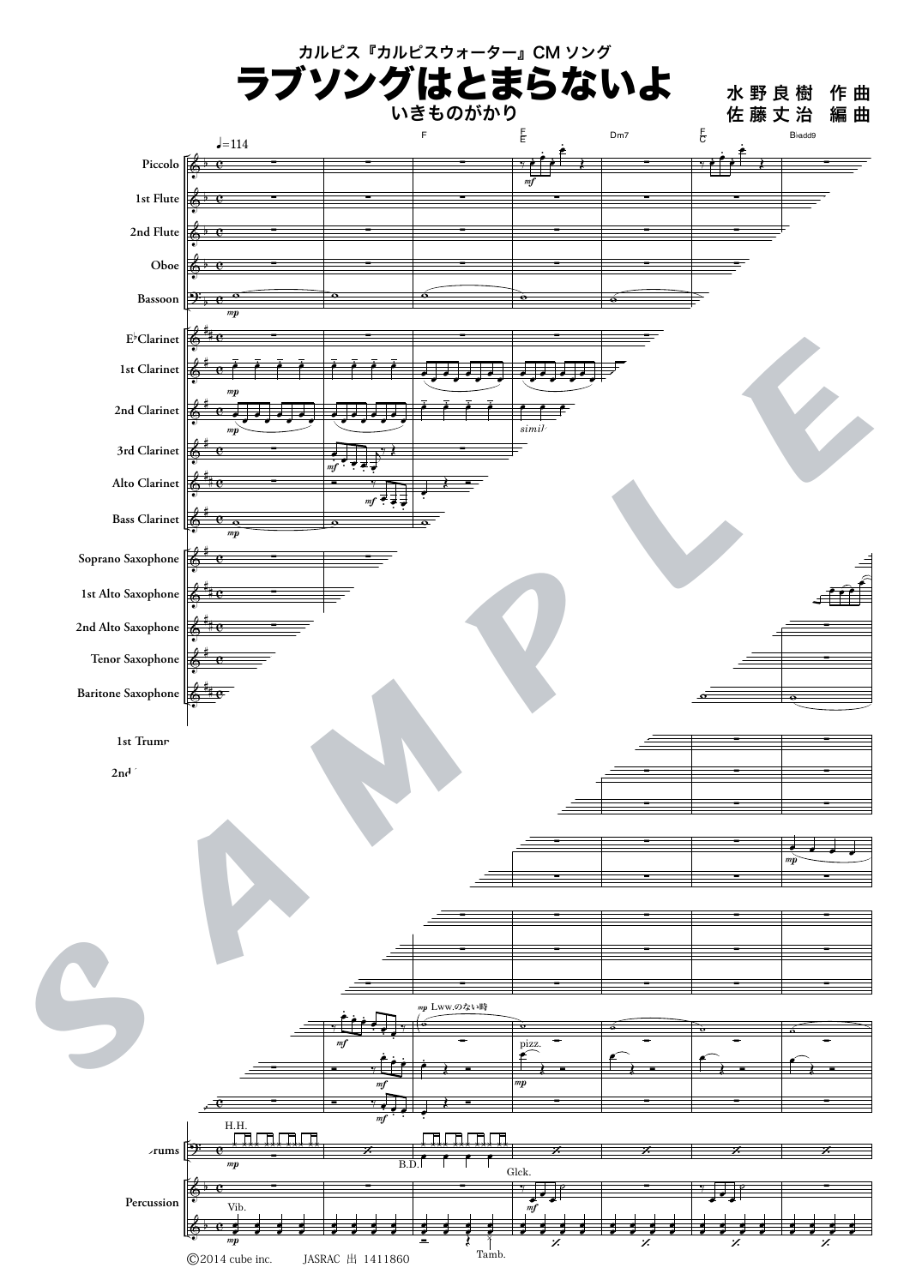